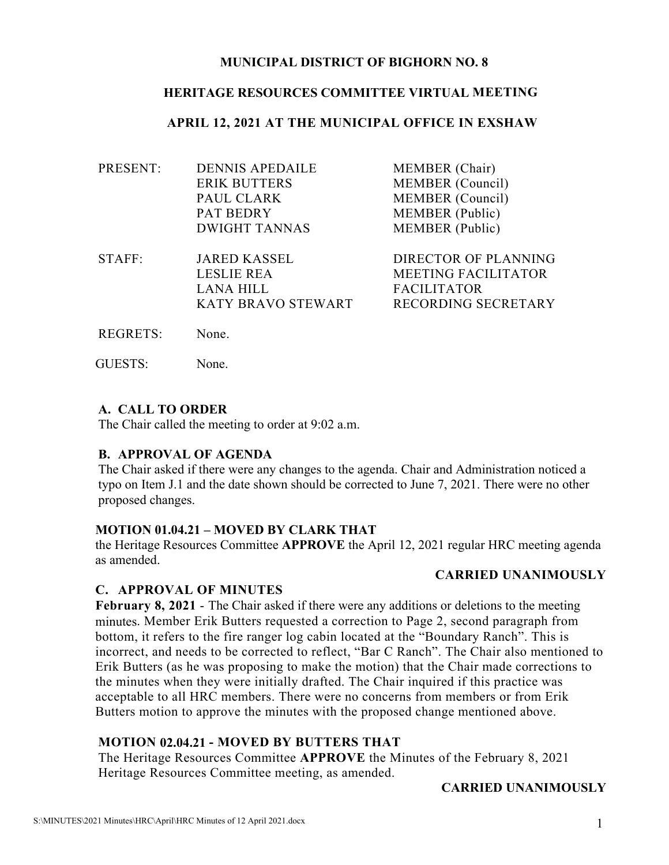# **MUNICIPAL DISTRICT OF BIGHORN NO. 8**

# **HERITAGE RESOURCES COMMITTEE VIRTUAL MEETING**

# **APRIL 12, 2021 AT THE MUNICIPAL OFFICE IN EXSHAW**

| PRESENT:        | <b>DENNIS APEDAILE</b> | MEMBER (Chair)             |
|-----------------|------------------------|----------------------------|
|                 | <b>ERIK BUTTERS</b>    | MEMBER (Council)           |
|                 | PAUL CLARK             | MEMBER (Council)           |
|                 | <b>PAT BEDRY</b>       | <b>MEMBER</b> (Public)     |
|                 | <b>DWIGHT TANNAS</b>   | <b>MEMBER</b> (Public)     |
| STAFF:          | <b>JARED KASSEL</b>    | DIRECTOR OF PLANNING       |
|                 | <b>LESLIE REA</b>      | <b>MEETING FACILITATOR</b> |
|                 | <b>LANA HILL</b>       | <b>FACILITATOR</b>         |
|                 | KATY BRAVO STEWART     | RECORDING SECRETARY        |
| <b>REGRETS:</b> | None.                  |                            |

GUESTS: None.

# **A. CALL TO ORDER**

The Chair called the meeting to order at 9:02 a.m.

#### **B. APPROVAL OF AGENDA**

The Chair asked if there were any changes to the agenda. Chair and Administration noticed a typo on Item J.1 and the date shown should be corrected to June 7, 2021. There were no other proposed changes.

#### **MOTION 01.04.21 – MOVED BY CLARK THAT**

the Heritage Resources Committee **APPROVE** the April 12, 2021 regular HRC meeting agenda as amended.

#### **CARRIED UNANIMOUSLY**

# **C. APPROVAL OF MINUTES**

**February 8, 2021** - The Chair asked if there were any additions or deletions to the meeting minutes. Member Erik Butters requested a correction to Page 2, second paragraph from bottom, it refers to the fire ranger log cabin located at the "Boundary Ranch". This is incorrect, and needs to be corrected to reflect, "Bar C Ranch". The Chair also mentioned to Erik Butters (as he was proposing to make the motion) that the Chair made corrections to the minutes when they were initially drafted. The Chair inquired if this practice was acceptable to all HRC members. There were no concerns from members or from Erik Butters motion to approve the minutes with the proposed change mentioned above.

# **MOTION 02.04.21 - MOVED BY BUTTERS THAT**

The Heritage Resources Committee **APPROVE** the Minutes of the February 8, 2021 Heritage Resources Committee meeting, as amended.

# **CARRIED UNANIMOUSLY**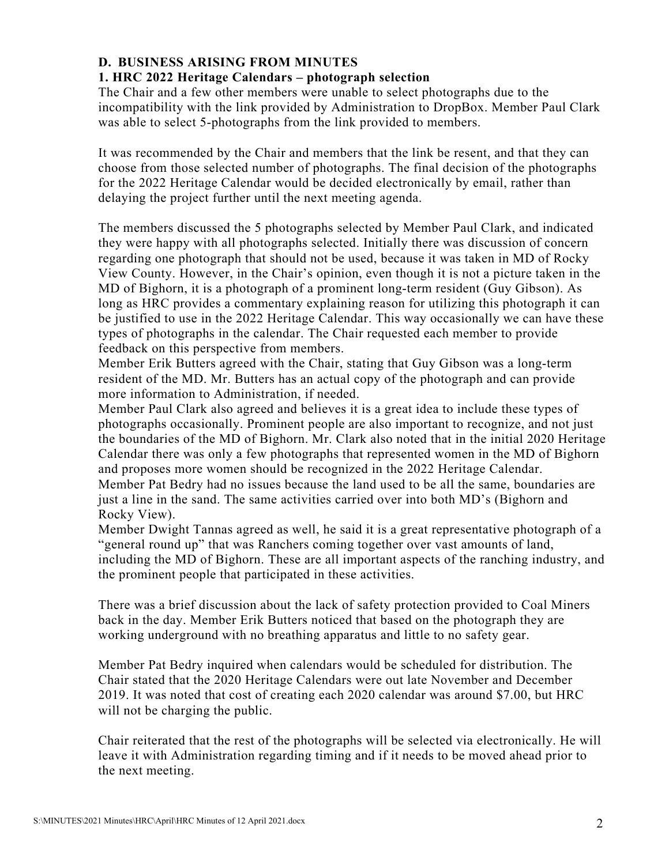# **D. BUSINESS ARISING FROM MINUTES**

# **1. HRC 2022 Heritage Calendars – photograph selection**

The Chair and a few other members were unable to select photographs due to the incompatibility with the link provided by Administration to DropBox. Member Paul Clark was able to select 5-photographs from the link provided to members.

It was recommended by the Chair and members that the link be resent, and that they can choose from those selected number of photographs. The final decision of the photographs for the 2022 Heritage Calendar would be decided electronically by email, rather than delaying the project further until the next meeting agenda.

The members discussed the 5 photographs selected by Member Paul Clark, and indicated they were happy with all photographs selected. Initially there was discussion of concern regarding one photograph that should not be used, because it was taken in MD of Rocky View County. However, in the Chair's opinion, even though it is not a picture taken in the MD of Bighorn, it is a photograph of a prominent long-term resident (Guy Gibson). As long as HRC provides a commentary explaining reason for utilizing this photograph it can be justified to use in the 2022 Heritage Calendar. This way occasionally we can have these types of photographs in the calendar. The Chair requested each member to provide feedback on this perspective from members.

Member Erik Butters agreed with the Chair, stating that Guy Gibson was a long-term resident of the MD. Mr. Butters has an actual copy of the photograph and can provide more information to Administration, if needed.

Member Paul Clark also agreed and believes it is a great idea to include these types of photographs occasionally. Prominent people are also important to recognize, and not just the boundaries of the MD of Bighorn. Mr. Clark also noted that in the initial 2020 Heritage Calendar there was only a few photographs that represented women in the MD of Bighorn and proposes more women should be recognized in the 2022 Heritage Calendar. Member Pat Bedry had no issues because the land used to be all the same, boundaries are

just a line in the sand. The same activities carried over into both MD's (Bighorn and Rocky View).

Member Dwight Tannas agreed as well, he said it is a great representative photograph of a "general round up" that was Ranchers coming together over vast amounts of land, including the MD of Bighorn. These are all important aspects of the ranching industry, and the prominent people that participated in these activities.

There was a brief discussion about the lack of safety protection provided to Coal Miners back in the day. Member Erik Butters noticed that based on the photograph they are working underground with no breathing apparatus and little to no safety gear.

Member Pat Bedry inquired when calendars would be scheduled for distribution. The Chair stated that the 2020 Heritage Calendars were out late November and December 2019. It was noted that cost of creating each 2020 calendar was around \$7.00, but HRC will not be charging the public.

Chair reiterated that the rest of the photographs will be selected via electronically. He will leave it with Administration regarding timing and if it needs to be moved ahead prior to the next meeting.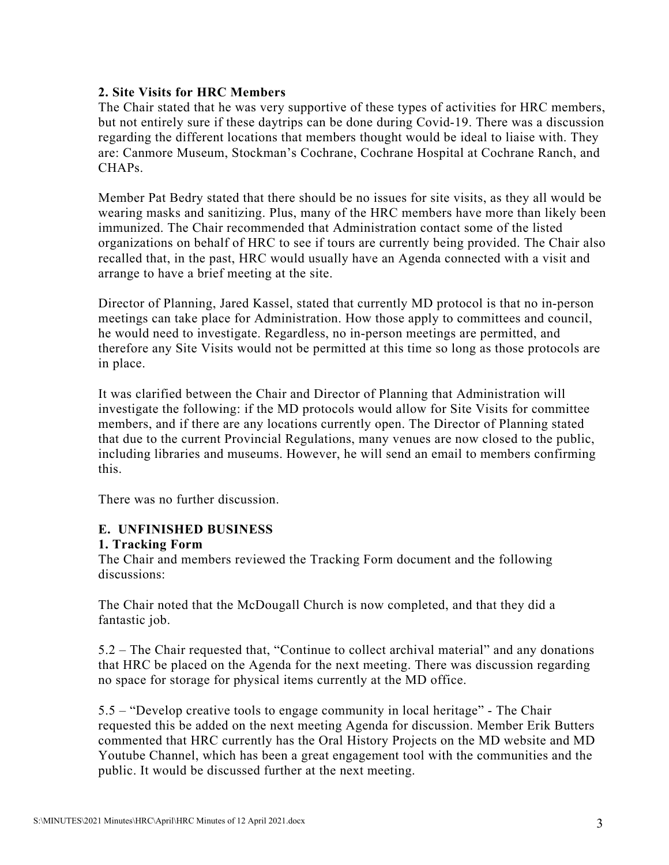# **2. Site Visits for HRC Members**

The Chair stated that he was very supportive of these types of activities for HRC members, but not entirely sure if these daytrips can be done during Covid-19. There was a discussion regarding the different locations that members thought would be ideal to liaise with. They are: Canmore Museum, Stockman's Cochrane, Cochrane Hospital at Cochrane Ranch, and CHAP<sub>s.</sub>

Member Pat Bedry stated that there should be no issues for site visits, as they all would be wearing masks and sanitizing. Plus, many of the HRC members have more than likely been immunized. The Chair recommended that Administration contact some of the listed organizations on behalf of HRC to see if tours are currently being provided. The Chair also recalled that, in the past, HRC would usually have an Agenda connected with a visit and arrange to have a brief meeting at the site.

Director of Planning, Jared Kassel, stated that currently MD protocol is that no in-person meetings can take place for Administration. How those apply to committees and council, he would need to investigate. Regardless, no in-person meetings are permitted, and therefore any Site Visits would not be permitted at this time so long as those protocols are in place.

It was clarified between the Chair and Director of Planning that Administration will investigate the following: if the MD protocols would allow for Site Visits for committee members, and if there are any locations currently open. The Director of Planning stated that due to the current Provincial Regulations, many venues are now closed to the public, including libraries and museums. However, he will send an email to members confirming this.

There was no further discussion.

# **E. UNFINISHED BUSINESS**

#### **1. Tracking Form**

The Chair and members reviewed the Tracking Form document and the following discussions:

The Chair noted that the McDougall Church is now completed, and that they did a fantastic job.

5.2 – The Chair requested that, "Continue to collect archival material" and any donations that HRC be placed on the Agenda for the next meeting. There was discussion regarding no space for storage for physical items currently at the MD office.

5.5 – "Develop creative tools to engage community in local heritage" - The Chair requested this be added on the next meeting Agenda for discussion. Member Erik Butters commented that HRC currently has the Oral History Projects on the MD website and MD Youtube Channel, which has been a great engagement tool with the communities and the public. It would be discussed further at the next meeting.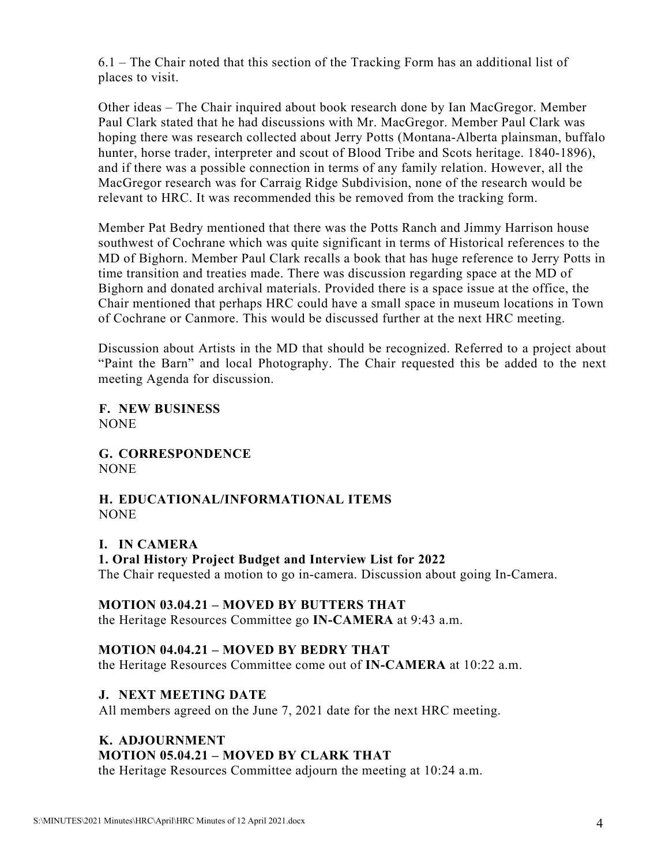6.1 – The Chair noted that this section of the Tracking Form has an additional list of places to visit.

Other ideas – The Chair inquired about book research done by Ian MacGregor. Member Paul Clark stated that he had discussions with Mr. MacGregor. Member Paul Clark was hoping there was research collected about Jerry Potts (Montana-Alberta plainsman, buffalo hunter, horse trader, interpreter and scout of Blood Tribe and Scots heritage. 1840-1896), and if there was a possible connection in terms of any family relation. However, all the MacGregor research was for Carraig Ridge Subdivision, none of the research would be relevant to HRC. It was recommended this be removed from the tracking form.

Member Pat Bedry mentioned that there was the Potts Ranch and Jimmy Harrison house southwest of Cochrane which was quite significant in terms of Historical references to the MD of Bighorn. Member Paul Clark recalls a book that has huge reference to Jerry Potts in time transition and treaties made. There was discussion regarding space at the MD of Bighorn and donated archival materials. Provided there is a space issue at the office, the Chair mentioned that perhaps HRC could have a small space in museum locations in Town of Cochrane or Canmore. This would be discussed further at the next HRC meeting.

Discussion about Artists in the MD that should be recognized. Referred to a project about "Paint the Barn" and local Photography. The Chair requested this be added to the next meeting Agenda for discussion.

**F. NEW BUSINESS** NONE

**G. CORRESPONDENCE** NONE

# **H. EDUCATIONAL/INFORMATIONAL ITEMS NONE**

**I. IN CAMERA 1. Oral History Project Budget and Interview List for 2022** The Chair requested a motion to go in-camera. Discussion about going In-Camera.

# **MOTION 03.04.21 – MOVED BY BUTTERS THAT**

the Heritage Resources Committee go **IN-CAMERA** at 9:43 a.m.

# **MOTION 04.04.21 – MOVED BY BEDRY THAT**

the Heritage Resources Committee come out of **IN-CAMERA** at 10:22 a.m.

#### **J. NEXT MEETING DATE**

All members agreed on the June 7, 2021 date for the next HRC meeting.

#### **K. ADJOURNMENT**

#### **MOTION 05.04.21 – MOVED BY CLARK THAT**

the Heritage Resources Committee adjourn the meeting at 10:24 a.m.